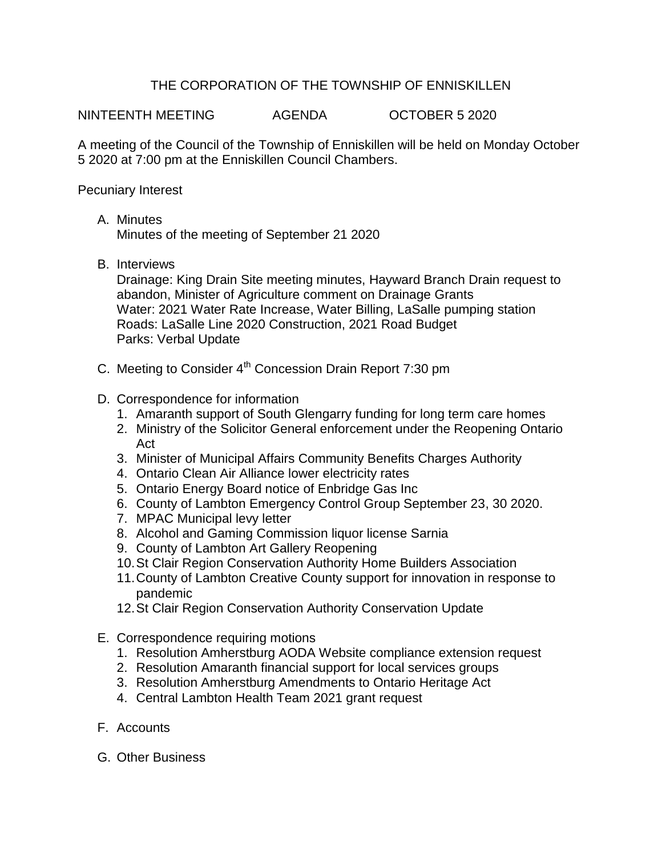## THE CORPORATION OF THE TOWNSHIP OF ENNISKILLEN

NINTEENTH MEETING AGENDA OCTOBER 5 2020

A meeting of the Council of the Township of Enniskillen will be held on Monday October 5 2020 at 7:00 pm at the Enniskillen Council Chambers.

Pecuniary Interest

A. Minutes

Minutes of the meeting of September 21 2020

B. Interviews

Drainage: King Drain Site meeting minutes, Hayward Branch Drain request to abandon, Minister of Agriculture comment on Drainage Grants Water: 2021 Water Rate Increase, Water Billing, LaSalle pumping station Roads: LaSalle Line 2020 Construction, 2021 Road Budget Parks: Verbal Update

- C. Meeting to Consider 4<sup>th</sup> Concession Drain Report 7:30 pm
- D. Correspondence for information
	- 1. Amaranth support of South Glengarry funding for long term care homes
	- 2. Ministry of the Solicitor General enforcement under the Reopening Ontario Act
	- 3. Minister of Municipal Affairs Community Benefits Charges Authority
	- 4. Ontario Clean Air Alliance lower electricity rates
	- 5. Ontario Energy Board notice of Enbridge Gas Inc
	- 6. County of Lambton Emergency Control Group September 23, 30 2020.
	- 7. MPAC Municipal levy letter
	- 8. Alcohol and Gaming Commission liquor license Sarnia
	- 9. County of Lambton Art Gallery Reopening
	- 10.St Clair Region Conservation Authority Home Builders Association
	- 11.County of Lambton Creative County support for innovation in response to pandemic
	- 12.St Clair Region Conservation Authority Conservation Update
- E. Correspondence requiring motions
	- 1. Resolution Amherstburg AODA Website compliance extension request
	- 2. Resolution Amaranth financial support for local services groups
	- 3. Resolution Amherstburg Amendments to Ontario Heritage Act
	- 4. Central Lambton Health Team 2021 grant request
- F. Accounts
- G. Other Business